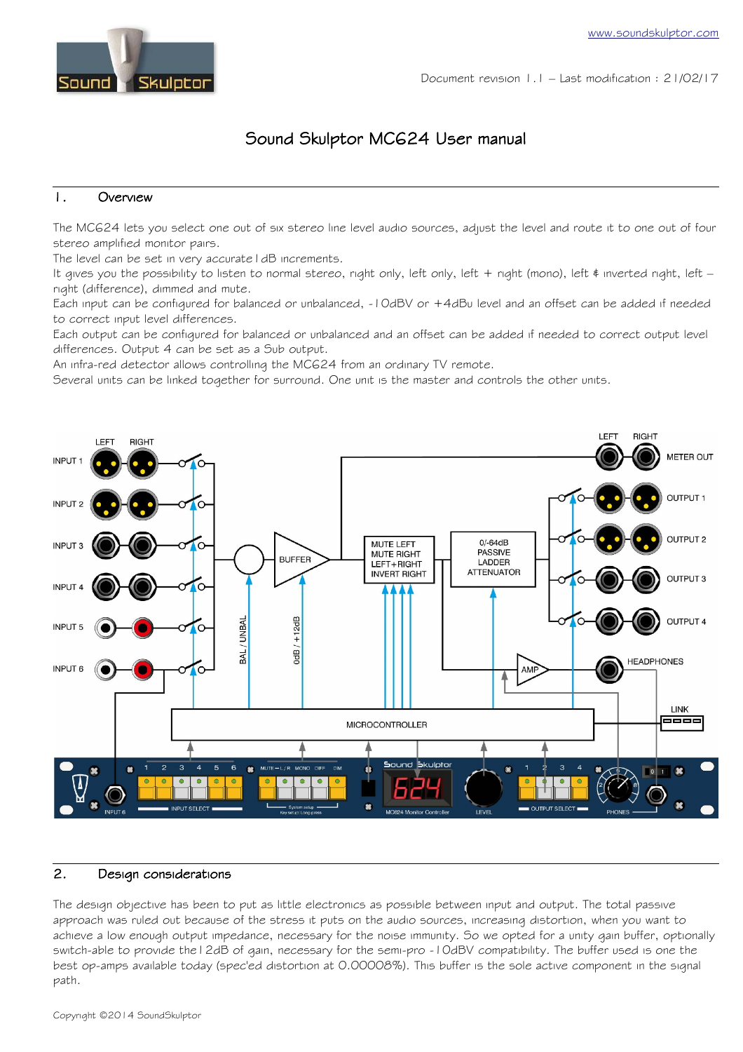

Document revision 1.1 – Last modification : 21/02/17

# Sound Skulptor MC624 User manual

### 1. Overview

The MC624 lets you select one out of six stereo line level audio sources, adjust the level and route it to one out of four stereo amplified monitor pairs.

The level can be set in very accurate I dB increments.

It gives you the possibility to listen to normal stereo, right only, left only, left + right (mono), left  $\epsilon$  inverted right, left – right (difference), dimmed and mute.

Each input can be configured for balanced or unbalanced, -10dBV or +4dBu level and an offset can be added if needed to correct input level differences.

Each output can be configured for balanced or unbalanced and an offset can be added if needed to correct output level differences. Output 4 can be set as a Sub output.

An infra-red detector allows controlling the MC624 from an ordinary TV remote.

Several units can be linked together for surround. One unit is the master and controls the other units.



#### 2. Design considerations

The design objective has been to put as little electronics as possible between input and output. The total passive approach was ruled out because of the stress it puts on the audio sources, increasing distortion, when you want to achieve a low enough output impedance, necessary for the noise immunity. So we opted for a unity gain buffer, optionally switch-able to provide the12dB of gain, necessary for the semi-pro -10dBV compatibility. The buffer used is one the best op-amps available today (spec'ed distortion at 0.00008%). This buffer is the sole active component in the signal path.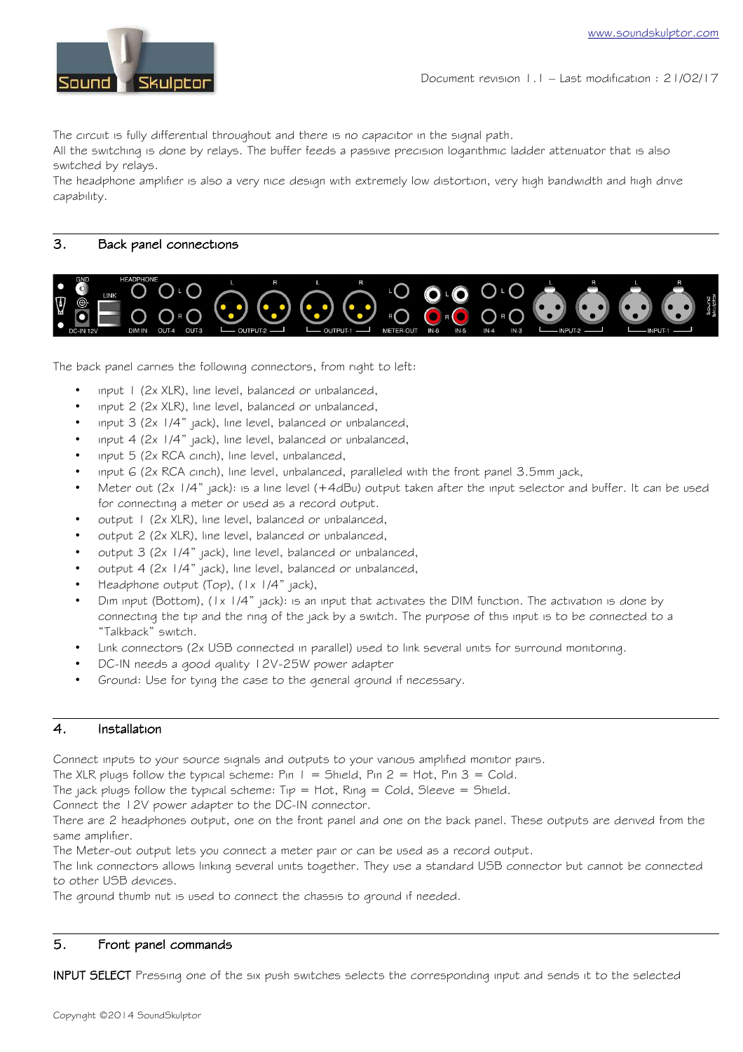

The circuit is fully differential throughout and there is no capacitor in the signal path.

All the switching is done by relays. The buffer feeds a passive precision logarithmic ladder attenuator that is also switched by relays.

The headphone amplifier is also a very nice design with extremely low distortion, very high bandwidth and high drive capability.

# 3. Back panel connections



The back panel carries the following connectors, from right to left:

- input 1 (2x XLR), line level, balanced or unbalanced,
- input 2 (2x XLR), line level, balanced or unbalanced,
- input 3 (2x 1/4" jack), line level, balanced or unbalanced,
- input 4 (2x 1/4" jack), line level, balanced or unbalanced,
- input 5 (2x RCA cinch), line level, unbalanced,
- input  $6$  (2x RCA cinch), line level, unbalanced, paralleled with the front panel  $3.5$ mm jack,
- Meter out (2x 1/4" jack): is a line level (+4dBu) output taken after the input selector and buffer. It can be used for connecting a meter or used as a record output.
- output 1 (2x XLR), line level, balanced or unbalanced,
- output 2 (2x XLR), line level, balanced or unbalanced,
- output 3 (2x 1/4" jack), line level, balanced or unbalanced,
- output 4 (2x 1/4" jack), line level, balanced or unbalanced,
- Headphone output (Top), (1x 1/4" jack),
- Dim input (Bottom), (1x 1/4" jack): is an input that activates the DIM function. The activation is done by connecting the tip and the ring of the jack by a switch. The purpose of this input is to be connected to a "Talkback" switch.
- Link connectors (2x USB connected in parallel) used to link several units for surround monitoring.
- DC-IN needs a good quality 12V-25W power adapter
- Ground: Use for tying the case to the general ground if necessary.

#### 4. Installation

Connect inputs to your source signals and outputs to your various amplified monitor pairs.

The XLR plugs follow the typical scheme: Pin  $1 =$  Shield, Pin 2 = Hot, Pin 3 = Cold.

The jack plugs follow the typical scheme:  $Tip = Hot$ , Ring = Cold, Sleeve = Shield.

Connect the 12V power adapter to the DC-IN connector.

There are 2 headphones output, one on the front panel and one on the back panel. These outputs are derived from the same amplifier.

The Meter-out output lets you connect a meter pair or can be used as a record output.

The link connectors allows linking several units together. They use a standard USB connector but cannot be connected to other USB devices.

The ground thumb nut is used to connect the chassis to ground if needed.

#### 5. Front panel commands

INPUT SELECT Pressing one of the six push switches selects the corresponding input and sends it to the selected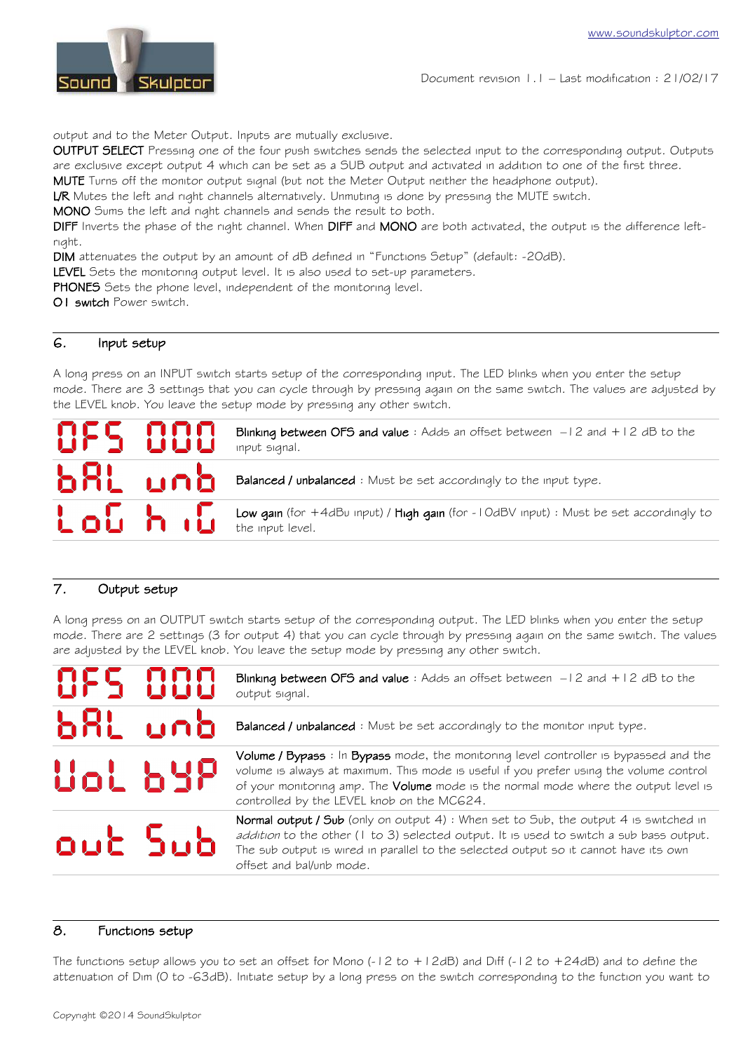

output and to the Meter Output. Inputs are mutually exclusive.

OUTPUT SELECT Pressing one of the four push switches sends the selected input to the corresponding output. Outputs are exclusive except output 4 which can be set as a SUB output and activated in addition to one of the first three.

MUTE Turns off the monitor output signal (but not the Meter Output neither the headphone output).

L/R Mutes the left and right channels alternatively. Unmuting is done by pressing the MUTE switch.

MONO Sums the left and right channels and sends the result to both.

DIFF Inverts the phase of the right channel. When DIFF and MONO are both activated, the output is the difference leftright.

DIM attenuates the output by an amount of dB defined in "Functions Setup" (default: -20dB).

LEVEL Sets the monitoring output level. It is also used to set-up parameters.

PHONES Sets the phone level, independent of the monitoring level.

O1 switch Power switch.

# 6. Input setup

A long press on an INPUT switch starts setup of the corresponding input. The LED blinks when you enter the setup mode. There are 3 settings that you can cycle through by pressing again on the same switch. The values are adjusted by the LEVEL knob. You leave the setup mode by pressing any other switch.

| OFS 000 | Blinking between OFS and value: Adds an offset between $-12$ and $+12$ dB to the<br>input signal.          |
|---------|------------------------------------------------------------------------------------------------------------|
|         | <b>ALL LIA</b> Balanced / unbalanced : Must be set accordingly to the input type.                          |
|         | Low gain (for +4dBu input) / High gain (for -10dBV input) : Must be set accordingly to<br>the input level. |

# 7. Output setup

A long press on an OUTPUT switch starts setup of the corresponding output. The LED blinks when you enter the setup mode. There are 2 settings (3 for output 4) that you can cycle through by pressing again on the same switch. The values are adjusted by the LEVEL knob. You leave the setup mode by pressing any other switch.

| AFS AAA | Blinking between OFS and value: Adds an offset between $-12$ and $+12$ dB to the<br>output signal.                                                                                                                                                                                                                     |
|---------|------------------------------------------------------------------------------------------------------------------------------------------------------------------------------------------------------------------------------------------------------------------------------------------------------------------------|
| b8L unb | Balanced / unbalanced : Must be set accordingly to the monitor input type.                                                                                                                                                                                                                                             |
| Uol 64P | Volume / Bypass : In Bypass mode, the monitoring level controller is bypassed and the<br>volume is always at maximum. This mode is useful if you prefer using the volume control<br>of your monitoring amp. The Volume mode is the normal mode where the output level is<br>controlled by the LEVEL knob on the MC624. |
| out Sub | Normal output / Sub (only on output 4) : When set to Sub, the output 4 is switched in<br>addition to the other (1 to 3) selected output. It is used to switch a sub bass output.<br>The sub output is wired in parallel to the selected output so it cannot have its own<br>offset and bal/unb mode.                   |

#### 8. Functions setup

The functions setup allows you to set an offset for Mono (-12 to +12dB) and Diff (-12 to +24dB) and to define the attenuation of Dim (0 to -63dB). Initiate setup by a long press on the switch corresponding to the function you want to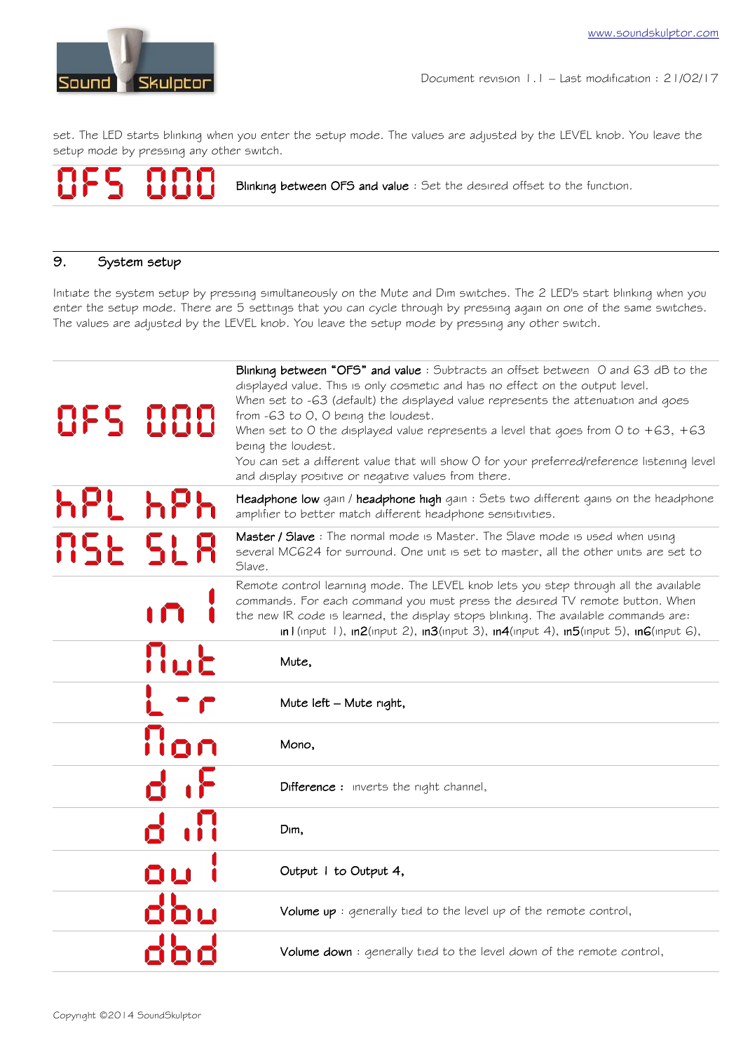

set. The LED starts blinking when you enter the setup mode. The values are adjusted by the LEVEL knob. You leave the setup mode by pressing any other switch.

Blinking between OFS and value : Set the desired offset to the function.

# 9. System setup

Initiate the system setup by pressing simultaneously on the Mute and Dim switches. The 2 LED's start blinking when you enter the setup mode. There are 5 settings that you can cycle through by pressing again on one of the same switches. The values are adjusted by the LEVEL knob. You leave the setup mode by pressing any other switch.

| 855 886      | Blinking between "OFS" and value: Subtracts an offset between 0 and 63 dB to the<br>displayed value. This is only cosmetic and has no effect on the output level.<br>When set to -63 (default) the displayed value represents the attenuation and goes<br>from -63 to 0, 0 being the loudest.<br>When set to 0 the displayed value represents a level that goes from 0 to $+63, +63$<br>being the loudest.<br>You can set a different value that will show O for your preferred/reference listening level<br>and display positive or negative values from there. |
|--------------|------------------------------------------------------------------------------------------------------------------------------------------------------------------------------------------------------------------------------------------------------------------------------------------------------------------------------------------------------------------------------------------------------------------------------------------------------------------------------------------------------------------------------------------------------------------|
| hPt          | Headphone low gain / headphone high gain: Sets two different gains on the headphone<br>amplifier to better match different headphone sensitivities.                                                                                                                                                                                                                                                                                                                                                                                                              |
| 856 SL8      | Master / Slave : The normal mode is Master. The Slave mode is used when using<br>several MCG24 for surround. One unit is set to master, all the other units are set to<br>Slave.                                                                                                                                                                                                                                                                                                                                                                                 |
|              | Remote control learning mode. The LEVEL knob lets you step through all the available<br>commands. For each command you must press the desired TV remote button. When<br>the new IR code is learned, the display stops blinking. The available commands are:<br>in I (input 1), in2(input 2), in3(input 3), in4(input 4), in5(input 5), in6(input 6),                                                                                                                                                                                                             |
| Mut          | Mute,                                                                                                                                                                                                                                                                                                                                                                                                                                                                                                                                                            |
|              | Mute left – Mute right,                                                                                                                                                                                                                                                                                                                                                                                                                                                                                                                                          |
| Non          | Mono,                                                                                                                                                                                                                                                                                                                                                                                                                                                                                                                                                            |
| d ih         | <b>Difference:</b> inverts the right channel,                                                                                                                                                                                                                                                                                                                                                                                                                                                                                                                    |
| $\mathbf{a}$ | Dim,                                                                                                                                                                                                                                                                                                                                                                                                                                                                                                                                                             |
| QU           | Output I to Output 4,                                                                                                                                                                                                                                                                                                                                                                                                                                                                                                                                            |
| ៨៦០          | Volume $up :$ generally tied to the level up of the remote control,                                                                                                                                                                                                                                                                                                                                                                                                                                                                                              |
|              | Volume down: generally tied to the level down of the remote control,                                                                                                                                                                                                                                                                                                                                                                                                                                                                                             |
|              |                                                                                                                                                                                                                                                                                                                                                                                                                                                                                                                                                                  |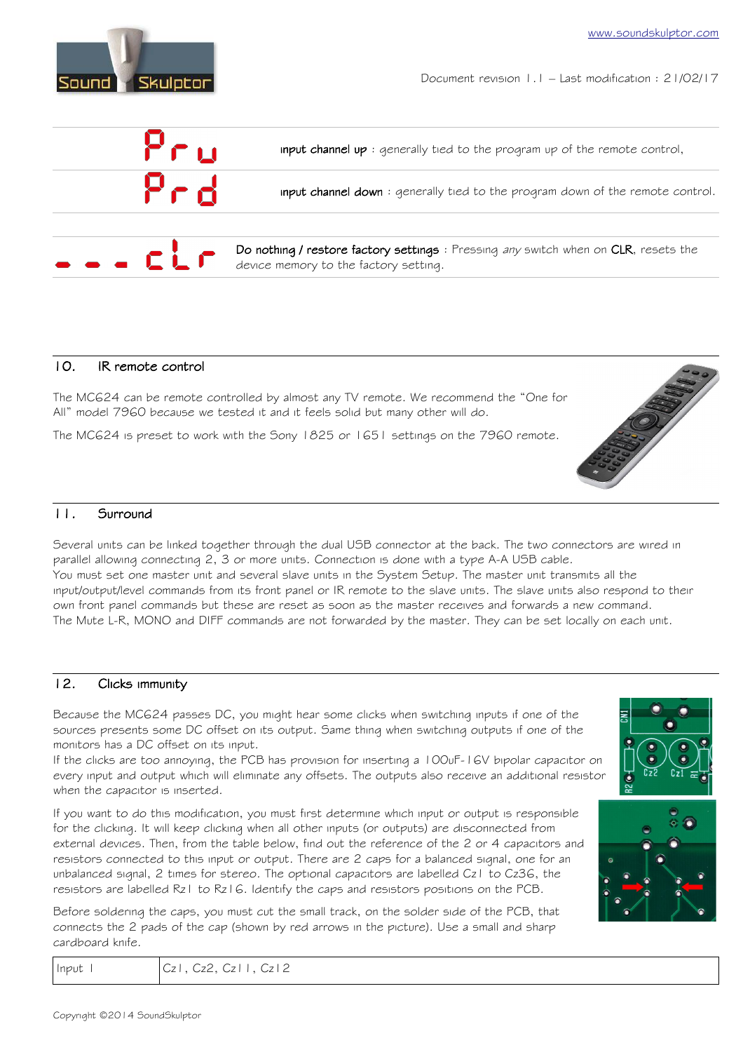

Document revision 1.1 – Last modification : 21/02/17



#### 10. IR remote control

The MC624 can be remote controlled by almost any TV remote. We recommend the "One for All" model 7960 because we tested it and it feels solid but many other will do.

The MC624 is preset to work with the Sony 1825 or 1651 settings on the 7960 remote.

# 11. Surround

Several units can be linked together through the dual USB connector at the back. The two connectors are wired in parallel allowing connecting 2, 3 or more units. Connection is done with a type A-A USB cable. You must set one master unit and several slave units in the System Setup. The master unit transmits all the input/output/level commands from its front panel or IR remote to the slave units. The slave units also respond to their own front panel commands but these are reset as soon as the master receives and forwards a new command. The Mute L-R, MONO and DIFF commands are not forwarded by the master. They can be set locally on each unit.

# 12. Clicks immunity

Because the MC624 passes DC, you might hear some clicks when switching inputs if one of the sources presents some DC offset on its output. Same thing when switching outputs if one of the monitors has a DC offset on its input.

If the clicks are too annoying, the PCB has provision for inserting a 100uF-16V bipolar capacitor on every input and output which will eliminate any offsets. The outputs also receive an additional resistor when the capacitor is inserted.

If you want to do this modification, you must first determine which input or output is responsible for the clicking. It will keep clicking when all other inputs (or outputs) are disconnected from external devices. Then, from the table below, find out the reference of the 2 or 4 capacitors and resistors connected to this input or output. There are 2 caps for a balanced signal, one for an unbalanced signal, 2 times for stereo. The optional capacitors are labelled Cz1 to Cz36, the resistors are labelled Rz1 to Rz16. Identify the caps and resistors positions on the PCB.

Before soldering the caps, you must cut the small track, on the solder side of the PCB, that connects the 2 pads of the cap (shown by red arrows in the picture). Use a small and sharp cardboard knife.

| د       |                |         |    |
|---------|----------------|---------|----|
| $R2$ (e | C <sub>z</sub> | $c_{z}$ | ਛ7 |
|         |                |         |    |
|         |                |         |    |



| Input I | $ Cz $ , $Cz2$ , $Cz11$ , $Cz12$ |  |
|---------|----------------------------------|--|
|         |                                  |  |